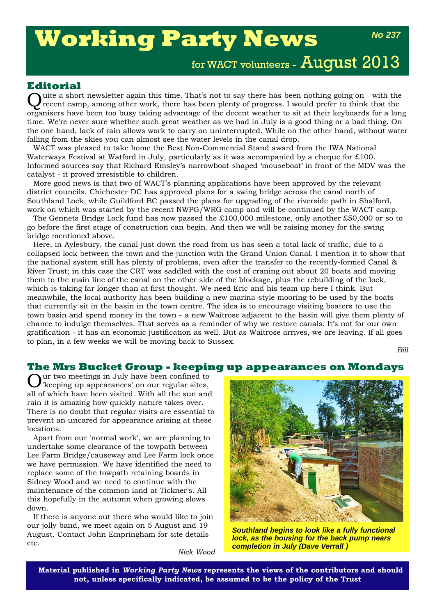# **Working Party News**

*No 237*

for WACT volunteers - August 2013

### **Editorial**

Quite a short newsletter again this time. That's not to say there has been nothing going on - with the recent camp, among other work, there has been plenty of progress. I would prefer to think that the organisers have been too busy taking advantage of the decent weather to sit at their keyboards for a long time. We're never sure whether such great weather as we had in July is a good thing or a bad thing. On the one hand, lack of rain allows work to carry on uninterrupted. While on the other hand, without water falling from the skies you can almost see the water levels in the canal drop.

WACT was pleased to take home the Best Non-Commercial Stand award from the IWA National Waterways Festival at Watford in July, particularly as it was accompanied by a cheque for £100. Informed sources say that Richard Emsley's narrowboat-shaped 'mouseboat' in front of the MDV was the catalyst - it proved irresistible to children.

More good news is that two of WACT's planning applications have been approved by the relevant district councils. Chichester DC has approved plans for a swing bridge across the canal north of Southland Lock, while Guildford BC passed the plans for upgrading of the riverside path in Shalford, work on which was started by the recent NWPG/WRG camp and will be continued by the WACT camp.

The Gennets Bridge Lock fund has now passed the £100,000 milestone, only another £50,000 or so to go before the first stage of construction can begin. And then we will be raising money for the swing bridge mentioned above.

Here, in Aylesbury, the canal just down the road from us has seen a total lack of traffic, due to a collapsed lock between the town and the junction with the Grand Union Canal. I mention it to show that the national system still has plenty of problems, even after the transfer to the recently-formed Canal & River Trust; in this case the CRT was saddled with the cost of craning out about 20 boats and moving them to the main line of the canal on the other side of the blockage, plus the rebuilding of the lock, which is taking far longer than at first thought. We need Eric and his team up here I think. But meanwhile, the local authority has been building a new marina-style mooring to be used by the boats that currently sit in the basin in the town centre. The idea is to encourage visiting boaters to use the town basin and spend money in the town - a new Waitrose adjacent to the basin will give them plenty of chance to indulge themselves. That serves as a reminder of why we restore canals. It's not for our own gratification - it has an economic justification as well. But as Waitrose arrives, we are leaving. If all goes to plan, in a few weeks we will be moving back to Sussex.

*Bill*

## **The Mrs Bucket Group - keeping up appearances on Mondays**

ur two meetings in July have been confined to 'keeping up appearances' on our regular sites, all of which have been visited. With all the sun and rain it is amazing how quickly nature takes over. There is no doubt that regular visits are essential to prevent an uncared for appearance arising at these locations.

Apart from our 'normal work', we are planning to undertake some clearance of the towpath between Lee Farm Bridge/causeway and Lee Farm lock once we have permission. We have identified the need to replace some of the towpath retaining boards in Sidney Wood and we need to continue with the maintenance of the common land at Tickner's. All this hopefully in the autumn when growing slows down.

If there is anyone out there who would like to join our jolly band, we meet again on 5 August and 19 August. Contact John Empringham for site details etc.

*Nick Wood*



*Southland begins to look like a fully functional lock, as the housing for the back pump nears completion in July (Dave Verrall )*

**Material published in** *Working Party News* **represents the views of the contributors and should not, unless specifically indicated, be assumed to be the policy of the Trust**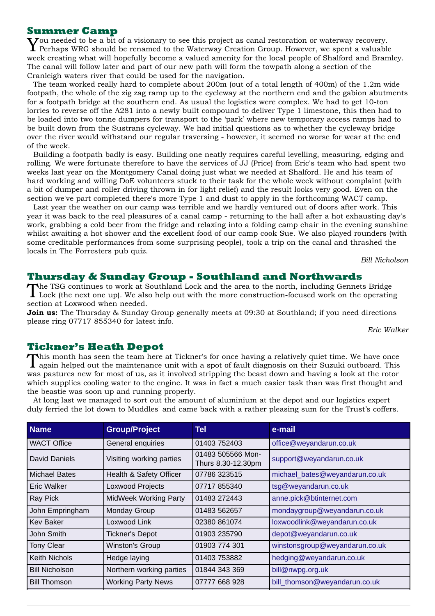#### **Summer Camp**

You needed to be a bit of a visionary to see this project as canal restoration or waterway recovery.  $\bf{I}$  Perhaps WRG should be renamed to the Waterway Creation Group. However, we spent a valuable week creating what will hopefully become a valued amenity for the local people of Shalford and Bramley. The canal will follow later and part of our new path will form the towpath along a section of the Cranleigh waters river that could be used for the navigation.

The team worked really hard to complete about 200m (out of a total length of 400m) of the 1.2m wide footpath, the whole of the zig zag ramp up to the cycleway at the northern end and the gabion abutments for a footpath bridge at the southern end. As usual the logistics were complex. We had to get 10-ton lorries to reverse off the A281 into a newly built compound to deliver Type 1 limestone, this then had to be loaded into two tonne dumpers for transport to the 'park' where new temporary access ramps had to be built down from the Sustrans cycleway. We had initial questions as to whether the cycleway bridge over the river would withstand our regular traversing - however, it seemed no worse for wear at the end of the week.

Building a footpath badly is easy. Building one neatly requires careful levelling, measuring, edging and rolling. We were fortunate therefore to have the services of JJ (Price) from Eric's team who had spent two weeks last year on the Montgomery Canal doing just what we needed at Shalford. He and his team of hard working and willing DoE volunteers stuck to their task for the whole week without complaint (with a bit of dumper and roller driving thrown in for light relief) and the result looks very good. Even on the section we've part completed there's more Type 1 and dust to apply in the forthcoming WACT camp.

Last year the weather on our camp was terrible and we hardly ventured out of doors after work. This year it was back to the real pleasures of a canal camp - returning to the hall after a hot exhausting day's work, grabbing a cold beer from the fridge and relaxing into a folding camp chair in the evening sunshine whilst awaiting a hot shower and the excellent food of our camp cook Sue. We also played rounders (with some creditable performances from some surprising people), took a trip on the canal and thrashed the locals in The Forresters pub quiz.

*Bill Nicholson*

#### **Thursday & Sunday Group - Southland and Northwards**

The TSG continues to work at Southland Lock and the area to the north, including Gennets Bridge Lock (the next one up). We also help out with the more construction-focused work on the operating section at Loxwood when needed.

**Join us:** The Thursday & Sunday Group generally meets at 09:30 at Southland; if you need directions please ring 07717 855340 for latest info.

*Eric Walker*

#### **Tickner's Heath Depot**

This month has seen the team here at Tickner's for once having a relatively quiet time. We have once again helped out the maintenance unit with a spot of fault diagnosis on their Suzuki outboard. This was pastures new for most of us, as it involved stripping the beast down and having a look at the rotor which supplies cooling water to the engine. It was in fact a much easier task than was first thought and the beastie was soon up and running properly.

At long last we managed to sort out the amount of aluminium at the depot and our logistics expert duly ferried the lot down to Muddles' and came back with a rather pleasing sum for the Trust's coffers.

| <b>Name</b>           | <b>Group/Project</b>         | Tel                                     | e-mail                         |
|-----------------------|------------------------------|-----------------------------------------|--------------------------------|
| <b>WACT Office</b>    | General enquiries            | 01403 752403                            | office@weyandarun.co.uk        |
| David Daniels         | Visiting working parties     | 01483 505566 Mon-<br>Thurs 8.30-12.30pm | support@weyandarun.co.uk       |
| <b>Michael Bates</b>  | Health & Safety Officer      | 07786 323515                            | michael_bates@weyandarun.co.uk |
| Eric Walker           | Loxwood Projects             | 07717 855340                            | tsg@weyandarun.co.uk           |
| Ray Pick              | <b>MidWeek Working Party</b> | 01483 272443                            | anne.pick@btinternet.com       |
| John Empringham       | Monday Group                 | 01483 562657                            | mondaygroup@weyandarun.co.uk   |
| <b>Kev Baker</b>      | Loxwood Link                 | 02380 861074                            | loxwoodlink@weyandarun.co.uk   |
| John Smith            | <b>Tickner's Depot</b>       | 01903 235790                            | depot@weyandarun.co.uk         |
| <b>Tony Clear</b>     | <b>Winston's Group</b>       | 01903 774 301                           | winstonsgroup@weyandarun.co.uk |
| <b>Keith Nichols</b>  | Hedge laying                 | 01403 753882                            | hedging@weyandarun.co.uk       |
| <b>Bill Nicholson</b> | Northern working parties     | 01844 343 369                           | bill@nwpg.org.uk               |
| <b>Bill Thomson</b>   | <b>Working Party News</b>    | 07777 668 928                           | bill_thomson@weyandarun.co.uk  |